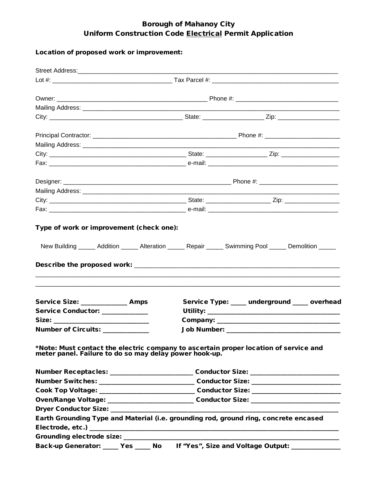## Borough of Mahanoy City Uniform Construction Code Electrical Permit Application

## Location of proposed work or improvement:

| Service Size: ______________ Amps                                                                                                              |  | Service Type: ____ underground ____ overhead                                      |  |
|------------------------------------------------------------------------------------------------------------------------------------------------|--|-----------------------------------------------------------------------------------|--|
| Service Conductor: ____________                                                                                                                |  |                                                                                   |  |
|                                                                                                                                                |  |                                                                                   |  |
| Number of Circuits: ____________                                                                                                               |  |                                                                                   |  |
| *Note: Must contact the electric company to ascertain proper location of service and<br>meter panel. Failure to do so may delay power hook-up. |  |                                                                                   |  |
|                                                                                                                                                |  | Number Receptacles: __________________________Conductor Size: ___________________ |  |
|                                                                                                                                                |  |                                                                                   |  |
|                                                                                                                                                |  |                                                                                   |  |
| Oven/Range Voltage: ________________________________Conductor Size: _______________________________                                            |  |                                                                                   |  |
|                                                                                                                                                |  |                                                                                   |  |
| Earth Grounding Type and Material (i.e. grounding rod, ground ring, concrete encased                                                           |  |                                                                                   |  |
|                                                                                                                                                |  |                                                                                   |  |
|                                                                                                                                                |  |                                                                                   |  |
| Back-up Generator: _____ Yes _____ No lf "Yes", Size and Voltage Output: ____________                                                          |  |                                                                                   |  |